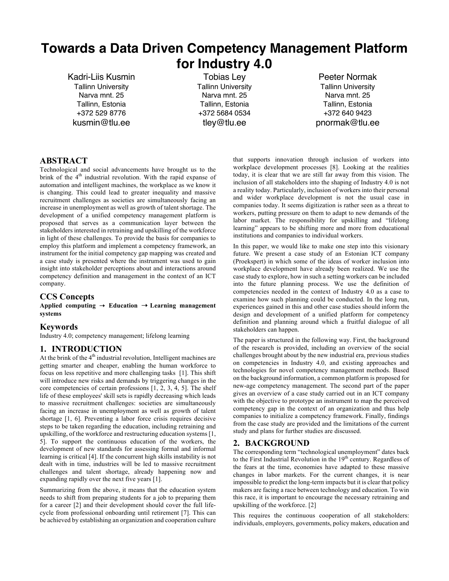# **Towards a Data Driven Competency Management Platform for Industry 4.0**

Kadri-Liis Kusmin Tallinn University Narva mnt. 25 Tallinn, Estonia +372 529 8776 kusmin@tlu.ee

Tobias Ley Tallinn University Narva mnt. 25 Tallinn, Estonia +372 5684 0534 tley@tlu.ee

Peeter Normak Tallinn University Narva mnt. 25 Tallinn, Estonia +372 640 9423 pnormak@tlu.ee

## **ABSTRACT**

Technological and social advancements have brought us to the brink of the 4<sup>th</sup> industrial revolution. With the rapid expanse of automation and intelligent machines, the workplace as we know it is changing. This could lead to greater inequality and massive recruitment challenges as societies are simultaneously facing an increase in unemployment as well as growth of talent shortage. The development of a unified competency management platform is proposed that serves as a communication layer between the stakeholders interested in retraining and upskilling of the workforce in light of these challenges. To provide the basis for companies to employ this platform and implement a competency framework, an instrument for the initial competency gap mapping was created and a case study is presented where the instrument was used to gain insight into stakeholder perceptions about and interactions around competency definition and management in the context of an ICT company.

#### **CCS Concepts**

**Applied computing** ➝ **Education** ➝ **Learning management systems** 

#### **Keywords**

Industry 4.0; competency management; lifelong learning

#### **1. INTRODUCTION**

At the brink of the  $4<sup>th</sup>$  industrial revolution, Intelligent machines are getting smarter and cheaper, enabling the human workforce to focus on less repetitive and more challenging tasks [1]. This shift will introduce new risks and demands by triggering changes in the core competencies of certain professions [1, 2, 3, 4, 5]. The shelf life of these employees' skill sets is rapidly decreasing which leads to massive recruitment challenges: societies are simultaneously facing an increase in unemployment as well as growth of talent shortage [1, 6]. Preventing a labor force crisis requires decisive steps to be taken regarding the education, including retraining and upskilling, of the workforce and restructuring education systems [1, 5]. To support the continuous education of the workers, the development of new standards for assessing formal and informal learning is critical [4]. If the concurrent high skills instability is not dealt with in time, industries will be led to massive recruitment challenges and talent shortage, already happening now and expanding rapidly over the next five years [1].

Summarizing from the above, it means that the education system needs to shift from preparing students for a job to preparing them for a career [2] and their development should cover the full lifecycle from professional onboarding until retirement [7]. This can be achieved by establishing an organization and cooperation culture

that supports innovation through inclusion of workers into workplace development processes [8]. Looking at the realities today, it is clear that we are still far away from this vision. The inclusion of all stakeholders into the shaping of Industry 4.0 is not a reality today. Particularly, inclusion of workers into their personal and wider workplace development is not the usual case in companies today. It seems digitization is rather seen as a threat to workers, putting pressure on them to adapt to new demands of the labor market. The responsibility for upskilling and "lifelong learning" appears to be shifting more and more from educational institutions and companies to individual workers.

In this paper, we would like to make one step into this visionary future. We present a case study of an Estonian ICT company (Proekspert) in which some of the ideas of worker inclusion into workplace development have already been realized. We use the case study to explore, how in such a setting workers can be included into the future planning process. We use the definition of competencies needed in the context of Industry 4.0 as a case to examine how such planning could be conducted. In the long run, experiences gained in this and other case studies should inform the design and development of a unified platform for competency definition and planning around which a fruitful dialogue of all stakeholders can happen.

The paper is structured in the following way. First, the background of the research is provided, including an overview of the social challenges brought about by the new industrial era, previous studies on competencies in Industry 4.0, and existing approaches and technologies for novel competency management methods. Based on the background information, a common platform is proposed for new-age competency management. The second part of the paper gives an overview of a case study carried out in an ICT company with the objective to prototype an instrument to map the perceived competency gap in the context of an organization and thus help companies to initialize a competency framework. Finally, findings from the case study are provided and the limitations of the current study and plans for further studies are discussed.

#### **2. BACKGROUND**

The corresponding term "technological unemployment" dates back to the First Industrial Revolution in the  $19<sup>th</sup>$  century. Regardless of the fears at the time, economies have adapted to these massive changes in labor markets. For the current changes, it is near impossible to predict the long-term impacts but it is clear that policy makers are facing a race between technology and education. To win this race, it is important to encourage the necessary retraining and upskilling of the workforce. [2]

This requires the continuous cooperation of all stakeholders: individuals, employers, governments, policy makers, education and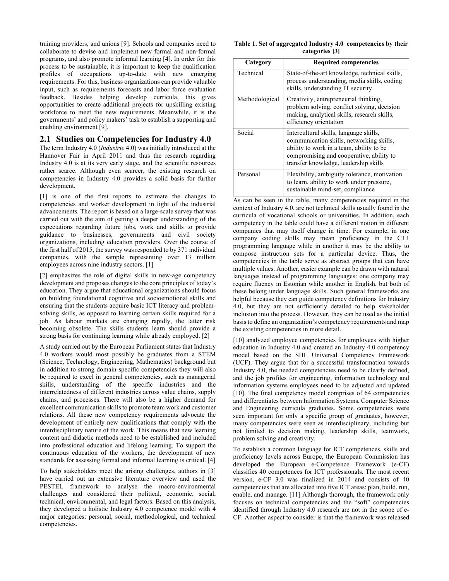training providers, and unions [9]. Schools and companies need to collaborate to devise and implement new formal and non-formal programs, and also promote informal learning [4]. In order for this process to be sustainable, it is important to keep the qualification profiles of occupations up-to-date with new emerging requirements. For this, business organizations can provide valuable input, such as requirements forecasts and labor force evaluation feedback. Besides helping develop curricula, this gives opportunities to create additional projects for upskilling existing workforce to meet the new requirements. Meanwhile, it is the governments' and policy makers' task to establish a supporting and enabling environment [9].

#### **2.1 Studies on Competencies for Industry 4.0**

The term Industry 4.0 (*Industrie* 4.0) was initially introduced at the Hannover Fair in April 2011 and thus the research regarding Industry 4.0 is at its very early stage, and the scientific resources rather scarce. Although even scarcer, the existing research on competencies in Industry 4.0 provides a solid basis for further development.

[1] is one of the first reports to estimate the changes to competencies and worker development in light of the industrial advancements. The report is based on a large-scale survey that was carried out with the aim of getting a deeper understanding of the expectations regarding future jobs, work and skills to provide guidance to businesses, governments and civil society organizations, including education providers. Over the course of the first half of 2015, the survey was responded to by 371 individual companies, with the sample representing over 13 million employees across nine industry sectors. [1]

[2] emphasizes the role of digital skills in new-age competency development and proposes changes to the core principles of today's education. They argue that educational organizations should focus on building foundational cognitive and socioemotional skills and ensuring that the students acquire basic ICT literacy and problemsolving skills, as opposed to learning certain skills required for a job. As labour markets are changing rapidly, the latter risk becoming obsolete. The skills students learn should provide a strong basis for continuing learning while already employed. [2]

A study carried out by the European Parliament states that Industry 4.0 workers would most possibly be graduates from a STEM (Science, Technology, Engineering, Mathematics) background but in addition to strong domain-specific competencies they will also be required to excel in general competencies, such as managerial skills, understanding of the specific industries and the interrelatedness of different industries across value chains, supply chains, and processes. There will also be a higher demand for excellent communication skills to promote team work and customer relations. All these new competency requirements advocate the development of entirely new qualifications that comply with the interdisciplinary nature of the work. This means that new learning content and didactic methods need to be established and included into professional education and lifelong learning. To support the continuous education of the workers, the development of new standards for assessing formal and informal learning is critical. [4]

To help stakeholders meet the arising challenges, authors in [3] have carried out an extensive literature overview and used the PESTEL framework to analyse the macro-environmental challenges and considered their political, economic, social, technical, environmental, and legal factors. Based on this analysis, they developed a holistic Industry 4.0 competence model with 4 major categories: personal, social, methodological, and technical competencies.

|  |                | Table 1. Set of aggregated Industry 4.0 competencies by their |  |
|--|----------------|---------------------------------------------------------------|--|
|  | categories [3] |                                                               |  |

| Category       | <b>Required competencies</b>                                                                                                                                                                                        |  |  |  |
|----------------|---------------------------------------------------------------------------------------------------------------------------------------------------------------------------------------------------------------------|--|--|--|
| Technical      | State-of-the-art knowledge, technical skills,<br>process understanding, media skills, coding<br>skills, understanding IT security                                                                                   |  |  |  |
| Methodological | Creativity, entrepreneurial thinking,<br>problem solving, conflict solving, decision<br>making, analytical skills, research skills,<br>efficiency orientation                                                       |  |  |  |
| Social         | Intercultural skills, language skills,<br>communication skills, networking skills,<br>ability to work in a team, ability to be<br>compromising and cooperative, ability to<br>transfer knowledge, leadership skills |  |  |  |
| Personal       | Flexibility, ambiguity tolerance, motivation<br>to learn, ability to work under pressure,<br>sustainable mind-set, compliance                                                                                       |  |  |  |

As can be seen in the table, many competencies required in the context of Industry 4.0, are not technical skills usually found in the curricula of vocational schools or universities. In addition, each competency in the table could have a different notion in different companies that may itself change in time. For example, in one company coding skills may mean proficiency in the C++ programming language while in another it may be the ability to compose instruction sets for a particular device. Thus, the competencies in the table serve as abstract groups that can have multiple values. Another, easier example can be drawn with natural languages instead of programming languages: one company may require fluency in Estonian while another in English, but both of these belong under language skills. Such general frameworks are helpful because they can guide competency definitions for Industry 4.0, but they are not sufficiently detailed to help stakeholder inclusion into the process. However, they can be used as the initial basis to define an organization's competency requirements and map the existing competencies in more detail.

[10] analyzed employee competencies for employees with higher education in Industry 4.0 and created an Industry 4.0 competency model based on the SHL Universal Competency Framework (UCF). They argue that for a successful transformation towards Industry 4.0, the needed competencies need to be clearly defined, and the job profiles for engineering, information technology and information systems employees need to be adjusted and updated [10]. The final competency model comprises of 64 competencies and differentiates between Information Systems, Computer Science and Engineering curricula graduates. Some competencies were seen important for only a specific group of graduates, however, many competencies were seen as interdisciplinary, including but not limited to decision making, leadership skills, teamwork, problem solving and creativity.

To establish a common language for ICT competences, skills and proficiency levels across Europe, the European Commission has developed the European e-Competence Framework (e-CF) classifies 40 competences for ICT professionals. The most recent version, e-CF 3.0 was finalized in 2014 and consists of 40 competencies that are allocated into five ICT areas: plan, build, run, enable, and manage. [11] Although thorough, the framework only focuses on technical competencies and the "soft" competencies identified through Industry 4.0 research are not in the scope of e-CF. Another aspect to consider is that the framework was released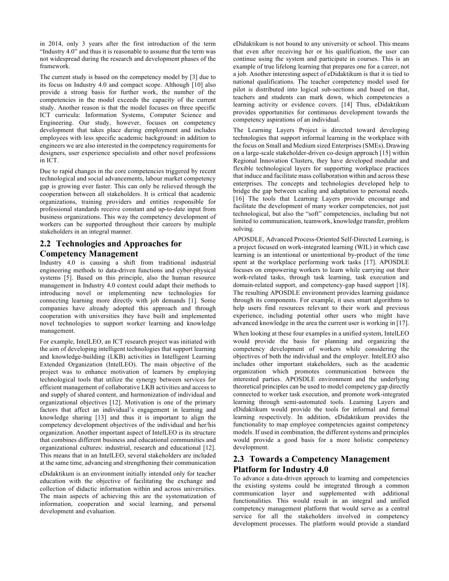in 2014, only 3 years after the first introduction of the term "Industry 4.0" and thus it is reasonable to assume that the term was not widespread during the research and development phases of the framework.

The current study is based on the competency model by [3] due to its focus on Industry 4.0 and compact scope. Although [10] also provide a strong basis for further work, the number of the competencies in the model exceeds the capacity of the current study. Another reason is that the model focuses on three specific ICT curricula: Information Systems, Computer Science and Engineering. Our study, however, focuses on competency development that takes place during employment and includes employees with less specific academic background: in addition to engineers we are also interested in the competency requirements for designers, user experience specialists and other novel professions in ICT.

Due to rapid changes in the core competencies triggered by recent technological and social advancements, labour market competency gap is growing ever faster. This can only be relieved through the cooperation between all stakeholders. It is critical that academic organizations, training providers and entities responsible for professional standards receive constant and up-to-date input from business organizations. This way the competency development of workers can be supported throughout their careers by multiple stakeholders in an integral manner.

## **2.2 Technologies and Approaches for Competency Management**

Industry 4.0 is causing a shift from traditional industrial engineering methods to data-driven functions and cyber-physical systems [5]. Based on this principle, also the human resource management in Industry 4.0 context could adapt their methods to introducing novel or implementing new technologies for connecting learning more directly with job demands [1]. Some companies have already adopted this approach and through cooperation with universities they have built and implemented novel technologies to support worker learning and knowledge management.

For example, IntelLEO, an ICT research project was initiated with the aim of developing intelligent technologies that support learning and knowledge-building (LKB) activities in Intelligent Learning Extended Organization (IntelLEO). The main objective of the project was to enhance motivation of learners by employing technological tools that utilize the synergy between services for efficient management of collaborative LKB activities and access to and supply of shared content, and harmonization of individual and organizational objectives [12]. Motivation is one of the primary factors that affect an individual's engagement in learning and knowledge sharing [13] and thus it is important to align the competency development objectives of the individual and her/his organization. Another important aspect of IntelLEO is its structure that combines different business and educational communities and organizational cultures: industrial, research and educational [12]. This means that in an IntelLEO, several stakeholders are included at the same time, advancing and strengthening their communication

eDidaktikum is an environment initially intended only for teacher education with the objective of facilitating the exchange and collection of didactic information within and across universities. The main aspects of achieving this are the systematization of information, cooperation and social learning, and personal development and evaluation.

eDidaktikum is not bound to any university or school. This means that even after receiving her or his qualification, the user can continue using the system and participate in courses. This is an example of true lifelong learning that prepares one for a career, not a job. Another interesting aspect of eDidaktikum is that it is tied to national qualifications. The teacher competency model used for pilot is distributed into logical sub-sections and based on that, teachers and students can mark down, which competencies a learning activity or evidence covers. [14] Thus, eDidaktikum provides opportunities for continuous development towards the competency aspirations of an individual.

The Learning Layers Project is directed toward developing technologies that support informal learning in the workplace with the focus on Small and Medium sized Enterprises (SMEs). Drawing on a large-scale stakeholder-driven co-design approach [15] within Regional Innovation Clusters, they have developed modular and flexible technological layers for supporting workplace practices that induce and facilitate mass collaboration within and across these enterprises. The concepts and technologies developed help to bridge the gap between scaling and adaptation to personal needs. [16] The tools that Learning Layers provide encourage and facilitate the development of many worker competencies, not just technological, but also the "soft" competencies, including but not limited to communication, teamwork, knowledge transfer, problem solving.

APOSDLE, Advanced Process-Oriented Self-Directed Learning, is a project focused on work-integrated learning (WIL) in which case learning is an intentional or unintentional by-product of the time spent at the workplace performing work tasks [17]. APOSDLE focuses on empowering workers to learn while carrying out their work-related tasks, through task learning, task execution and domain-related support, and competency-gap based support [18]. The resulting APOSDLE environment provides learning guidance through its components. For example, it uses smart algorithms to help users find resources relevant to their work and previous experience, including potential other users who might have advanced knowledge in the area the current user is working in [17].

When looking at these four examples in a unified system, IntelLEO would provide the basis for planning and organizing the competency development of workers while considering the objectives of both the individual and the employer. IntelLEO also includes other important stakeholders, such as the academic organization which promotes communication between the interested parties. APOSDLE environment and the underlying theoretical principles can be used to model competency gap directly connected to worker task execution, and promote work-integrated learning through semi-automated tools. Learning Layers and eDidaktikum would provide the tools for informal and formal learning respectively. In addition, eDidaktikum provides the functionality to map employee competencies against competency models. If used in combination, the different systems and principles would provide a good basis for a more holistic competency development.

## **2.3 Towards a Competency Management Platform for Industry 4.0**

To advance a data-driven approach to learning and competencies the existing systems could be integrated through a common communication layer and supplemented with additional functionalities. This would result in an integral and unified competency management platform that would serve as a central service for all the stakeholders involved in competency development processes. The platform would provide a standard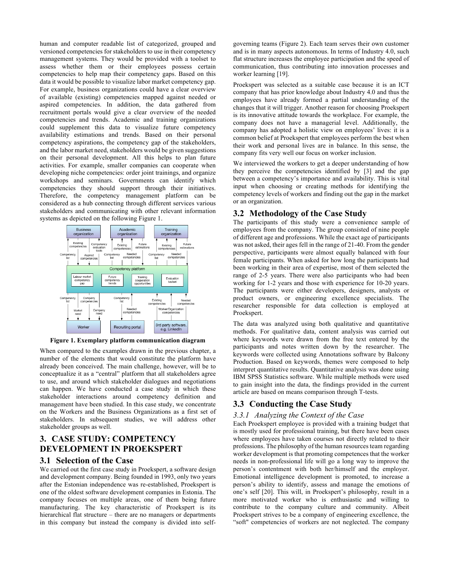human and computer readable list of categorized, grouped and versioned competencies for stakeholders to use in their competency management systems. They would be provided with a toolset to assess whether them or their employees possess certain competencies to help map their competency gaps. Based on this data it would be possible to visualize labor market competency gap. For example, business organizations could have a clear overview of available (existing) competencies mapped against needed or aspired competencies. In addition, the data gathered from recruitment portals would give a clear overview of the needed competencies and trends. Academic and training organizations could supplement this data to visualize future competency availability estimations and trends. Based on their personal competency aspirations, the competency gap of the stakeholders, and the labor market need, stakeholders would be given suggestions on their personal development. All this helps to plan future activities. For example, smaller companies can cooperate when developing niche competencies: order joint trainings, and organize workshops and seminars. Governments can identify which competencies they should support through their initiatives. Therefore, the competency management platform can be considered as a hub connecting through different services various stakeholders and communicating with other relevant information systems as depicted on the following Figure 1.



**Figure 1. Exemplary platform communication diagram**

When compared to the examples drawn in the previous chapter, a number of the elements that would constitute the platform have already been conceived. The main challenge, however, will be to conceptualize it as a "central" platform that all stakeholders agree to use, and around which stakeholder dialogues and negotiations can happen. We have conducted a case study in which these stakeholder interactions around competency definition and management have been studied. In this case study, we concentrate on the Workers and the Business Organizations as a first set of stakeholders. In subsequent studies, we will address other stakeholder groups as well.

# **3. CASE STUDY: COMPETENCY DEVELOPMENT IN PROEKSPERT**

#### **3.1 Selection of the Case**

We carried out the first case study in Proekspert, a software design and development company. Being founded in 1993, only two years after the Estonian independence was re-established, Proekspert is one of the oldest software development companies in Estonia. The company focuses on multiple areas, one of them being future manufacturing. The key characteristic of Proekspert is its hierarchical flat structure – there are no managers or departments in this company but instead the company is divided into self-

governing teams (Figure 2). Each team serves their own customer and is in many aspects autonomous. In terms of Industry 4.0, such flat structure increases the employee participation and the speed of communication, thus contributing into innovation processes and worker learning [19].

Proekspert was selected as a suitable case because it is an ICT company that has prior knowledge about Industry 4.0 and thus the employees have already formed a partial understanding of the changes that it will trigger. Another reason for choosing Proekspert is its innovative attitude towards the workplace. For example, the company does not have a managerial level. Additionally, the company has adopted a holistic view on employees' lives: it is a common belief at Proekspert that employees perform the best when their work and personal lives are in balance. In this sense, the company fits very well our focus on worker inclusion.

We interviewed the workers to get a deeper understanding of how they perceive the competencies identified by [3] and the gap between a competency's importance and availability. This is vital input when choosing or creating methods for identifying the competency levels of workers and finding out the gap in the market or an organization.

## **3.2 Methodology of the Case Study**

The participants of this study were a convenience sample of employees from the company. The group consisted of nine people of different age and professions. While the exact age of participants was not asked, their ages fell in the range of 21-40. From the gender perspective, participants were almost equally balanced with four female participants. When asked for how long the participants had been working in their area of expertise, most of them selected the range of 2-5 years. There were also participants who had been working for 1-2 years and those with experience for 10-20 years. The participants were either developers, designers, analysts or product owners, or engineering excellence specialists. The researcher responsible for data collection is employed at Proekspert.

The data was analyzed using both qualitative and quantitative methods. For qualitative data, content analysis was carried out where keywords were drawn from the free text entered by the participants and notes written down by the researcher. The keywords were collected using Annotations software by Balcony Production. Based on keywords, themes were composed to help interpret quantitative results. Quantitative analysis was done using IBM SPSS Statistics software. While multiple methods were used to gain insight into the data, the findings provided in the current article are based on means comparison through T-tests.

## **3.3 Conducting the Case Study**

## *3.3.1 Analyzing the Context of the Case*

Each Proekspert employee is provided with a training budget that is mostly used for professional training, but there have been cases where employees have taken courses not directly related to their professions. The philosophy of the human resources team regarding worker development is that promoting competences that the worker needs in non-professional life will go a long way to improve the person's contentment with both her/himself and the employer. Emotional intelligence development is promoted, to increase a person's ability to identify, assess and manage the emotions of one's self [20]. This will, in Proekspert's philosophy, result in a more motivated worker who is enthusiastic and willing to contribute to the company culture and community. Albeit Proekspert strives to be a company of engineering excellence, the "soft" competencies of workers are not neglected. The company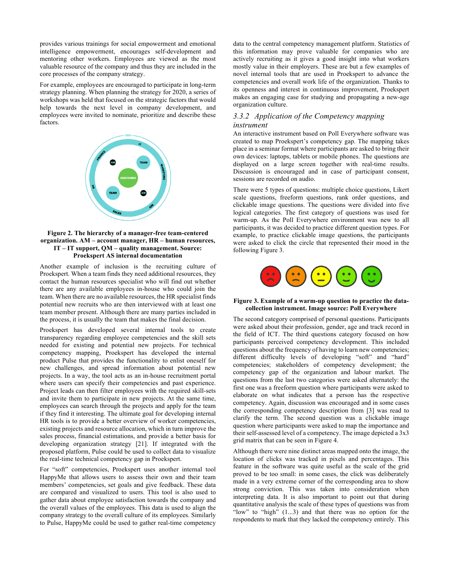provides various trainings for social empowerment and emotional intelligence empowerment, encourages self-development and mentoring other workers. Employees are viewed as the most valuable resource of the company and thus they are included in the core processes of the company strategy.

For example, employees are encouraged to participate in long-term strategy planning. When planning the strategy for 2020, a series of workshops was held that focused on the strategic factors that would help towards the next level in company development, and employees were invited to nominate, prioritize and describe these factors.



#### **Figure 2. The hierarchy of a manager-free team-centered organization. AM – account manager, HR – human resources, IT – IT support, QM – quality management. Source: Proekspert AS internal documentation**

Another example of inclusion is the recruiting culture of Proekspert. When a team finds they need additional resources, they contact the human resources specialist who will find out whether there are any available employees in-house who could join the team. When there are no available resources, the HR specialist finds potential new recruits who are then interviewed with at least one team member present. Although there are many parties included in the process, it is usually the team that makes the final decision.

Proekspert has developed several internal tools to create transparency regarding employee competencies and the skill sets needed for existing and potential new projects. For technical competency mapping, Proekspert has developed the internal product Pulse that provides the functionality to enlist oneself for new challenges, and spread information about potential new projects. In a way, the tool acts as an in-house recruitment portal where users can specify their competencies and past experience. Project leads can then filter employees with the required skill-sets and invite them to participate in new projects. At the same time, employees can search through the projects and apply for the team if they find it interesting. The ultimate goal for developing internal HR tools is to provide a better overview of worker competencies, existing projects and resource allocation, which in turn improve the sales process, financial estimations, and provide a better basis for developing organization strategy [21]. If integrated with the proposed platform, Pulse could be used to collect data to visualize the real-time technical competency gap in Proekspert.

For "soft" competencies, Proekspert uses another internal tool HappyMe that allows users to assess their own and their team members' competencies, set goals and give feedback. These data are compared and visualized to users. This tool is also used to gather data about employee satisfaction towards the company and the overall values of the employees. This data is used to align the company strategy to the overall culture of its employees. Similarly to Pulse, HappyMe could be used to gather real-time competency

data to the central competency management platform. Statistics of this information may prove valuable for companies who are actively recruiting as it gives a good insight into what workers mostly value in their employers. These are but a few examples of novel internal tools that are used in Proekspert to advance the competencies and overall work life of the organization. Thanks to its openness and interest in continuous improvement, Proekspert makes an engaging case for studying and propagating a new-age organization culture.

#### *3.3.2 Application of the Competency mapping instrument*

An interactive instrument based on Poll Everywhere software was created to map Proekspert's competency gap. The mapping takes place in a seminar format where participants are asked to bring their own devices: laptops, tablets or mobile phones. The questions are displayed on a large screen together with real-time results. Discussion is encouraged and in case of participant consent, sessions are recorded on audio.

There were 5 types of questions: multiple choice questions, Likert scale questions, freeform questions, rank order questions, and clickable image questions. The questions were divided into five logical categories. The first category of questions was used for warm-up. As the Poll Everywhere environment was new to all participants, it was decided to practice different question types. For example, to practice clickable image questions, the participants were asked to click the circle that represented their mood in the following Figure 3.



#### **Figure 3. Example of a warm-up question to practice the datacollection instrument. Image source: Poll Everywhere**

The second category comprised of personal questions. Participants were asked about their profession, gender, age and track record in the field of ICT. The third questions category focused on how participants perceived competency development. This included questions about the frequency of having to learn new competencies; different difficulty levels of developing "soft" and "hard" competencies; stakeholders of competency development; the competency gap of the organization and labour market. The questions from the last two categories were asked alternately: the first one was a freeform question where participants were asked to elaborate on what indicates that a person has the respective competency. Again, discussion was encouraged and in some cases the corresponding competency description from [3] was read to clarify the term. The second question was a clickable image question where participants were asked to map the importance and their self-assessed level of a competency. The image depicted a 3x3 grid matrix that can be seen in Figure 4.

Although there were nine distinct areas mapped onto the image, the location of clicks was tracked in pixels and percentages. This feature in the software was quite useful as the scale of the grid proved to be too small: in some cases, the click was deliberately made in a very extreme corner of the corresponding area to show strong conviction. This was taken into consideration when interpreting data. It is also important to point out that during quantitative analysis the scale of these types of questions was from "low" to "high" (1...3) and that there was no option for the respondents to mark that they lacked the competency entirely. This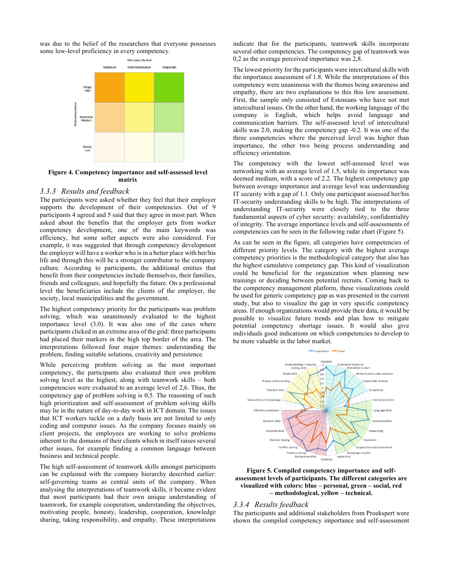was due to the belief of the researchers that everyone possesses some low-level proficiency in every competency.



#### **Figure 4. Competency importance and self-assessed level matrix**

#### *3.3.3 Results and feedback*

The participants were asked whether they feel that their employer supports the development of their competencies. Out of 9 participants 4 agreed and 5 said that they agree in most part. When asked about the benefits that the employer gets from worker competency development, one of the main keywords was efficiency, but some softer aspects were also considered. For example, it was suggested that through competency development the employer will have a worker who is in a better place with her/his life and through this will be a stronger contributor to the company culture. According to participants, the additional entities that benefit from their competencies include themselves, their families, friends and colleagues, and hopefully the future. On a professional level the beneficiaries include the clients of the employer, the society, local municipalities and the government.

The highest competency priority for the participants was problem solving, which was unanimously evaluated to the highest importance level (3.0). It was also one of the cases where participants clicked in an extreme area of the grid: three participants had placed their markers in the high top border of the area. The interpretations followed four major themes: understanding the problem, finding suitable solutions, creativity and persistence.

While perceiving problem solving as the most important competency, the participants also evaluated their own problem solving level as the highest, along with teamwork skills – both competencies were evaluated to an average level of 2,6. Thus, the competency gap of problem solving is 0,5. The reasoning of such high prioritization and self-assessment of problem solving skills may lie in the nature of day-to-day work in ICT domain. The issues that ICT workers tackle on a daily basis are not limited to only coding and computer issues. As the company focuses mainly on client projects, the employees are working to solve problems inherent to the domains of their clients which in itself raises several other issues, for example finding a common language between business and technical people.

The high self-assessment of teamwork skills amongst participants can be explained with the company hierarchy described earlier: self-governing teams as central units of the company. When analysing the interpretations of teamwork skills, it became evident that most participants had their own unique understanding of teamwork, for example cooperation, understanding the objectives, motivating people, honesty, leadership, cooperation, knowledge sharing, taking responsibility, and empathy. These interpretations

indicate that for the participants, teamwork skills incorporate several other competencies. The competency gap of teamwork was 0,2 as the average perceived importance was 2,8.

The lowest priority for the participants were intercultural skills with the importance assessment of 1.8. While the interpretations of this competency were unanimous with the themes being awareness and empathy, there are two explanations to this this low assessment. First, the sample only consisted of Estonians who have not met intercultural issues. On the other hand, the working language of the company is English, which helps avoid language and communication barriers. The self-assessed level of intercultural skills was 2.0, making the competency gap -0.2. It was one of the three competencies where the perceived level was higher than importance, the other two being process understanding and efficiency orientation.

The competency with the lowest self-assessed level was networking with an average level of 1.5, while its importance was deemed medium, with a score of 2.2. The highest competency gap between average importance and average level was understanding IT security with a gap of 1.1. Only one participant assessed her/his IT-security understanding skills to be high. The interpretations of understanding IT-security were closely tied to the three fundamental aspects of cyber security: availability, confidentiality of integrity. The average importance levels and self-assessments of competencies can be seen in the following radar chart (Figure 5).

As can be seen in the figure, all categories have competencies of different priority levels. The category with the highest average competency priorities is the methodological category that also has the highest cumulative competency gap. This kind of visualization could be beneficial for the organization when planning new trainings or deciding between potential recruits. Coming back to the competency management platform, these visualizations could be used for generic competency gap as was presented in the current study, but also to visualize the gap in very specific competency areas. If enough organizations would provide their data, it would be possible to visualize future trends and plan how to mitigate potential competency shortage issues. It would also give individuals good indications on which competencies to develop to be more valuable in the labor market.



#### **Figure 5. Compiled competency importance and selfassessment levels of participants. The different categories are visualized with colors: blue – personal, green – social, red – methodological, yellow – technical.**

#### *3.3.4 Results feedback*

The participants and additional stakeholders from Proekspert were shown the compiled competency importance and self-assessment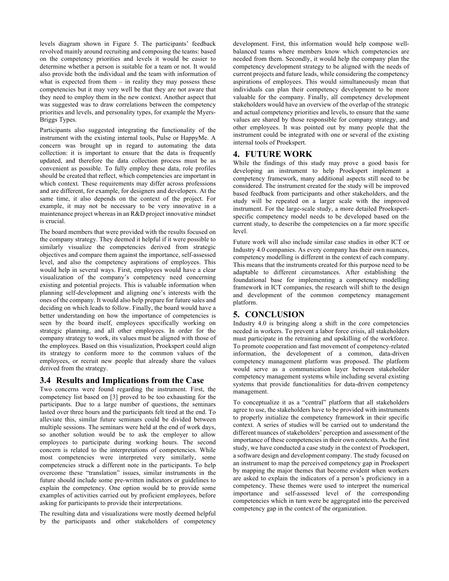levels diagram shown in Figure 5. The participants' feedback revolved mainly around recruiting and composing the teams: based on the competency priorities and levels it would be easier to determine whether a person is suitable for a team or not. It would also provide both the individual and the team with information of what is expected from them  $-$  in reality they may possess these competencies but it may very well be that they are not aware that they need to employ them in the new context. Another aspect that was suggested was to draw correlations between the competency priorities and levels, and personality types, for example the Myers-Briggs Types.

Participants also suggested integrating the functionality of the instrument with the existing internal tools, Pulse or HappyMe. A concern was brought up in regard to automating the data collection: it is important to ensure that the data is frequently updated, and therefore the data collection process must be as convenient as possible. To fully employ these data, role profiles should be created that reflect, which competencies are important in which context. These requirements may differ across professions and are different, for example, for designers and developers. At the same time, it also depends on the context of the project. For example, it may not be necessary to be very innovative in a maintenance project whereas in an R&D project innovative mindset is crucial.

The board members that were provided with the results focused on the company strategy. They deemed it helpful if it were possible to similarly visualize the competencies derived from strategic objectives and compare them against the importance, self-assessed level, and also the competency aspirations of employees. This would help in several ways. First, employees would have a clear visualization of the company's competency need concerning existing and potential projects. This is valuable information when planning self-development and aligning one's interests with the ones of the company. It would also help prepare for future sales and deciding on which leads to follow. Finally, the board would have a better understanding on how the importance of competencies is seen by the board itself, employees specifically working on strategic planning, and all other employees. In order for the company strategy to work, its values must be aligned with those of the employees. Based on this visualization, Proekspert could align its strategy to conform more to the common values of the employees, or recruit new people that already share the values derived from the strategy.

#### **3.4 Results and Implications from the Case**

Two concerns were found regarding the instrument. First, the competency list based on [3] proved to be too exhausting for the participants. Due to a large number of questions, the seminars lasted over three hours and the participants felt tired at the end. To alleviate this, similar future seminars could be divided between multiple sessions. The seminars were held at the end of work days, so another solution would be to ask the employer to allow employees to participate during working hours. The second concern is related to the interpretations of competencies. While most competencies were interpreted very similarly, some competencies struck a different note in the participants. To help overcome these "translation" issues, similar instruments in the future should include some pre-written indicators or guidelines to explain the competency. One option would be to provide some examples of activities carried out by proficient employees, before asking for participants to provide their interpretations.

The resulting data and visualizations were mostly deemed helpful by the participants and other stakeholders of competency

development. First, this information would help compose wellbalanced teams where members know which competencies are needed from them. Secondly, it would help the company plan the competency development strategy to be aligned with the needs of current projects and future leads, while considering the competency aspirations of employees. This would simultaneously mean that individuals can plan their competency development to be more valuable for the company. Finally, all competency development stakeholders would have an overview of the overlap of the strategic and actual competency priorities and levels, to ensure that the same values are shared by those responsible for company strategy, and other employees. It was pointed out by many people that the instrument could be integrated with one or several of the existing internal tools of Proekspert.

## **4. FUTURE WORK**

While the findings of this study may prove a good basis for developing an instrument to help Proekspert implement a competency framework, many additional aspects still need to be considered. The instrument created for the study will be improved based feedback from participants and other stakeholders, and the study will be repeated on a larger scale with the improved instrument. For the large-scale study, a more detailed Proekspertspecific competency model needs to be developed based on the current study, to describe the competencies on a far more specific level.

Future work will also include similar case studies in other ICT or Industry 4.0 companies. As every company has their own nuances, competency modelling is different in the context of each company. This means that the instruments created for this purpose need to be adaptable to different circumstances. After establishing the foundational base for implementing a competency modelling framework in ICT companies, the research will shift to the design and development of the common competency management platform.

## **5. CONCLUSION**

Industry 4.0 is bringing along a shift in the core competencies needed in workers. To prevent a labor force crisis, all stakeholders must participate in the retraining and upskilling of the workforce. To promote cooperation and fast movement of competency-related information, the development of a common, data-driven competency management platform was proposed. The platform would serve as a communication layer between stakeholder competency management systems while including several existing systems that provide functionalities for data-driven competency management.

To conceptualize it as a "central" platform that all stakeholders agree to use, the stakeholders have to be provided with instruments to properly initialize the competency framework in their specific context. A series of studies will be carried out to understand the different nuances of stakeholders' perception and assessment of the importance of these competencies in their own contexts. As the first study, we have conducted a case study in the context of Proekspert, a software design and development company. The study focused on an instrument to map the perceived competency gap in Proekspert by mapping the major themes that become evident when workers are asked to explain the indicators of a person's proficiency in a competency. These themes were used to interpret the numerical importance and self-assessed level of the corresponding competencies which in turn were be aggregated into the perceived competency gap in the context of the organization.